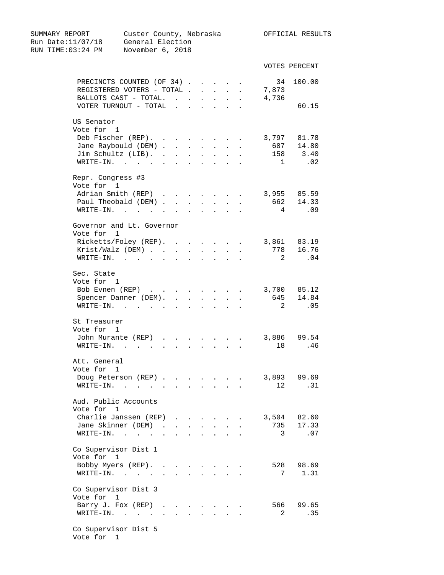SUMMARY REPORT Custer County, Nebraska OFFICIAL RESULTS Run Date:11/07/18 General Election RUN TIME:03:24 PM November 6, 2018 VOTES PERCENT PRECINCTS COUNTED (OF 34) . . . . . 34 100.00 REGISTERED VOTERS - TOTAL . . . . . 7,873 BALLOTS CAST - TOTAL. . . . . . . 4,736 VOTER TURNOUT - TOTAL . . . . . . 60.15 US Senator Vote for 1 Deb Fischer (REP). . . . . . . . 3,797 81.78 Jane Raybould (DEM) . . . . . . . 687 14.80 Jim Schultz (LIB). . . . . . . . 158 3.40 WRITE-IN. . . . . . . . . . . 1 .02 Repr. Congress #3 Vote for 1 Adrian Smith (REP) . . . . . . . 3,955 85.59<br>Paul Theobald (DEM) . . . . . . . 662 14.33<br>WRITE-IN. . . . . . . . . . . 4 .09 Paul Theobald (DEM) . . . . . . . 662 14.33 WRITE-IN. . . . . . . . . . . . 4 .09 Governor and Lt. Governor Vote for 1 Ricketts/Foley (REP). . . . . . . 3,861 83.19<br>Krist/Walz (DEM) . . . . . . . . 778 16.76<br>WPITE IN Krist/Walz (DEM) . . . . . . . . 778 16.76<br>WRITE-IN. . . . . . . . . . . . 2 .04 WRITE-IN. . . . . . . . . . . Sec. State Vote for 1 Bob Evnen (REP) . . . . . . . . 3,700 85.12 Spencer Danner (DEM). . . . . . . 645 14.84 WRITE-IN. . . . . . . . . . . . 2 .05 St Treasurer Vote for 1 John Murante (REP) . . . . . . . 3,886 99.54 WRITE-IN. . . . . . . . . . . 18 .46 Att. General Vote for 1 Doug Peterson (REP) . . . . . . . 3,893 99.69<br>EPITE IN WRITE-IN. . . . . . . . . . . 12 .31 Aud. Public Accounts Vote for 1 Charlie Janssen (REP) . . . . . . 3,504 82.60 Jane Skinner (DEM) . . . . . . . . 735 17.33 WRITE-IN. . . . . . . . . . . . 3 .07 Co Supervisor Dist 1 Vote for 1 Bobby Myers (REP). . . . . . . . 528 98.69 WRITE-IN. . . . . . . . . . . . 7 1.31 Co Supervisor Dist 3 Vote for 1 Barry J. Fox (REP) . . . . . . . 566 99.65<br>WRITE-IN. . . . . . . . . . . . 2 .35 WRITE-IN. . . . . . . . . . . Co Supervisor Dist 5

Vote for 1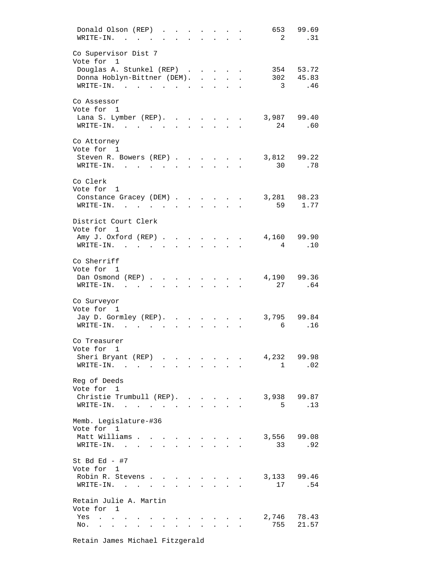| Donald Olson (REP)<br>WRITE-IN.<br>$\sim$ $\sim$<br>$\sim$ $\sim$                                                                                                                                                                              |                                              |                                        |                           |                                        |                      |                            | 653 99.69<br>2 .31 |
|------------------------------------------------------------------------------------------------------------------------------------------------------------------------------------------------------------------------------------------------|----------------------------------------------|----------------------------------------|---------------------------|----------------------------------------|----------------------|----------------------------|--------------------|
| Co Supervisor Dist 7<br>Vote for 1                                                                                                                                                                                                             |                                              |                                        |                           |                                        |                      |                            |                    |
| Douglas A. Stunkel (REP)                                                                                                                                                                                                                       |                                              |                                        |                           |                                        | $\ddot{\phantom{a}}$ |                            | 354 53.72          |
| Donna Hoblyn-Bittner (DEM). .                                                                                                                                                                                                                  |                                              |                                        | $\ddot{\phantom{0}}$      |                                        |                      | 302 45.83                  |                    |
| WRITE-IN.<br>$\mathbf{r}$ . The set of the set of the set of the set of the set of the set of the set of the set of the set of the set of the set of the set of the set of the set of the set of the set of the set of the set of the set of t |                                              |                                        |                           |                                        |                      | $\overline{\phantom{a}}$ 3 | .46                |
| Co Assessor<br>Vote for 1                                                                                                                                                                                                                      |                                              |                                        |                           |                                        |                      |                            |                    |
| Lana S. Lymber (REP).                                                                                                                                                                                                                          |                                              |                                        |                           |                                        |                      | 3,987 99.40                |                    |
| WRITE-IN.                                                                                                                                                                                                                                      |                                              | $\ddot{\phantom{a}}$                   | <b>Contractor</b>         | $\ddot{\phantom{a}}$                   |                      | 24 .60                     |                    |
| Co Attorney<br>Vote for 1                                                                                                                                                                                                                      |                                              |                                        |                           |                                        |                      |                            |                    |
| Steven R. Bowers (REP)                                                                                                                                                                                                                         |                                              |                                        |                           |                                        |                      | 3,812 99.22                |                    |
| WRITE-IN.                                                                                                                                                                                                                                      |                                              |                                        | $\ddot{\phantom{0}}$      | $\ddot{\phantom{0}}$                   | $\ddot{\phantom{a}}$ | 30                         | .78                |
| Co Clerk<br>Vote for 1                                                                                                                                                                                                                         |                                              |                                        |                           |                                        |                      |                            |                    |
| Constance Gracey (DEM)                                                                                                                                                                                                                         |                                              |                                        |                           |                                        | $\ddot{\phantom{a}}$ | 3,281 98.23                |                    |
| $\texttt{WRTTE-IN.}$                                                                                                                                                                                                                           |                                              | $\mathbf{L}$                           | $\sim$ $\sim$             | $\mathbf{r}$                           |                      | 59 1.77                    |                    |
| District Court Clerk                                                                                                                                                                                                                           |                                              |                                        |                           |                                        |                      |                            |                    |
| Vote for 1                                                                                                                                                                                                                                     |                                              |                                        |                           |                                        |                      |                            |                    |
| Amy J. Oxford (REP)                                                                                                                                                                                                                            |                                              | $\ddot{\phantom{a}}$                   | $\mathbf{L}$              |                                        |                      | 4,160 99.90                |                    |
| $\texttt{WRTTE-IN.}$                                                                                                                                                                                                                           | $\sim$                                       | $\mathcal{L}$                          |                           |                                        |                      | $\overline{4}$             | .10                |
| Co Sherriff                                                                                                                                                                                                                                    |                                              |                                        |                           |                                        |                      |                            |                    |
| Vote for 1                                                                                                                                                                                                                                     |                                              |                                        |                           |                                        |                      |                            |                    |
| Dan Osmond (REP).                                                                                                                                                                                                                              |                                              |                                        |                           |                                        |                      | 4,190 99.36                |                    |
| WRITE-IN. .<br>$\mathbf{r}$                                                                                                                                                                                                                    |                                              |                                        |                           |                                        |                      | 27                         | .64                |
|                                                                                                                                                                                                                                                |                                              |                                        |                           |                                        |                      |                            |                    |
| Co Surveyor                                                                                                                                                                                                                                    |                                              |                                        |                           |                                        |                      |                            |                    |
| Vote for 1<br>Jay D. Gormley (REP). .                                                                                                                                                                                                          |                                              | $\ddot{\phantom{a}}$                   |                           |                                        |                      | 3,795 99.84                |                    |
| WRITE-IN. .                                                                                                                                                                                                                                    |                                              |                                        |                           |                                        |                      | 6                          | .16                |
|                                                                                                                                                                                                                                                |                                              |                                        |                           |                                        |                      |                            |                    |
| Co Treasurer                                                                                                                                                                                                                                   |                                              |                                        |                           |                                        |                      |                            |                    |
| Vote for 1                                                                                                                                                                                                                                     |                                              |                                        |                           |                                        |                      |                            |                    |
| Sheri Bryant (REP)<br>$\texttt{WRITE-IN.}$                                                                                                                                                                                                     |                                              |                                        | $\bullet$                 |                                        | $\sim$ $\sim$        | 4,232 99.98<br>1           | .02                |
|                                                                                                                                                                                                                                                |                                              | $\mathbf{L}^{\text{max}}$<br>$\bullet$ | <b>Contractor</b>         | $\bullet$                              |                      |                            |                    |
| Reg of Deeds                                                                                                                                                                                                                                   |                                              |                                        |                           |                                        |                      |                            |                    |
| Vote for 1                                                                                                                                                                                                                                     |                                              |                                        |                           |                                        |                      |                            |                    |
| Christie Trumbull (REP).                                                                                                                                                                                                                       |                                              |                                        |                           |                                        |                      | 3,938 99.87                |                    |
| WRITE-IN.                                                                                                                                                                                                                                      |                                              |                                        |                           |                                        |                      | 5                          | .13                |
| Memb. Legislature-#36                                                                                                                                                                                                                          |                                              |                                        |                           |                                        |                      |                            |                    |
| Vote for 1                                                                                                                                                                                                                                     |                                              |                                        |                           |                                        |                      |                            |                    |
| Matt Williams                                                                                                                                                                                                                                  |                                              |                                        |                           |                                        |                      | 3,556                      | 99.08              |
| WRITE-IN.                                                                                                                                                                                                                                      |                                              | $\mathbf{L}$                           |                           | $\mathbf{r} = \mathbf{r} + \mathbf{r}$ |                      | 33                         | .92                |
|                                                                                                                                                                                                                                                |                                              |                                        |                           |                                        |                      |                            |                    |
| St Bd Ed $-$ #7<br>Vote for 1                                                                                                                                                                                                                  |                                              |                                        |                           |                                        |                      |                            |                    |
| Robin R. Stevens                                                                                                                                                                                                                               |                                              | $\mathbf{L}$                           | $\mathbf{L} = \mathbf{L}$ |                                        |                      | 3,133 99.46                |                    |
| WRITE-IN.                                                                                                                                                                                                                                      | $\mathbf{r}$                                 |                                        |                           |                                        |                      | 17                         | .54                |
|                                                                                                                                                                                                                                                |                                              |                                        |                           |                                        |                      |                            |                    |
| Retain Julie A. Martin<br>Vote for 1                                                                                                                                                                                                           |                                              |                                        |                           |                                        |                      |                            |                    |
| Yes<br>$\mathbf{a}^{\prime}$ , $\mathbf{a}^{\prime}$ , $\mathbf{a}^{\prime}$ , $\mathbf{a}^{\prime}$ , $\mathbf{a}^{\prime}$ , $\mathbf{a}^{\prime}$                                                                                           |                                              |                                        |                           |                                        |                      | 2,746                      | 78.43              |
| No.<br>$\mathbf{L}$<br>$\mathbf{r}$ and $\mathbf{r}$<br>$\sim$                                                                                                                                                                                 | <b>All Card Card</b><br>$\ddot{\phantom{a}}$ |                                        |                           |                                        |                      | 755                        | 21.57              |
|                                                                                                                                                                                                                                                |                                              |                                        |                           |                                        |                      |                            |                    |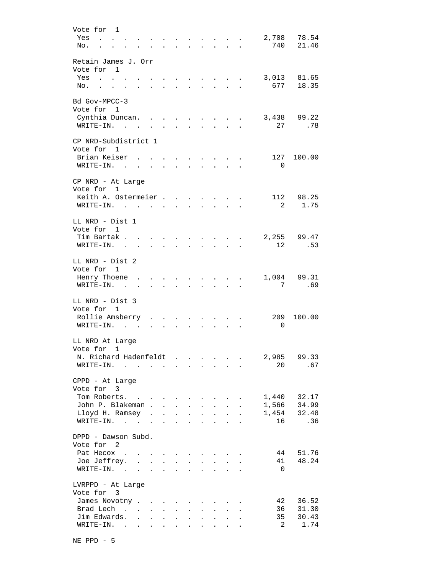| Vote for 1                                                                                                                   |                                                           |                                                           |                                                             |                      |                                                             |                             |                           |                      |                |             |
|------------------------------------------------------------------------------------------------------------------------------|-----------------------------------------------------------|-----------------------------------------------------------|-------------------------------------------------------------|----------------------|-------------------------------------------------------------|-----------------------------|---------------------------|----------------------|----------------|-------------|
| $\mathbf{r}$ , $\mathbf{r}$ , $\mathbf{r}$<br>Yes                                                                            |                                                           |                                                           |                                                             | $\ddot{\phantom{a}}$ | $\ddot{\phantom{a}}$                                        |                             | <b>Allen Adams</b>        | $\ddot{\phantom{a}}$ | 2,708          | 78.54       |
| No.                                                                                                                          |                                                           |                                                           |                                                             |                      | $\mathbf{L}$                                                | $\ddot{\phantom{a}}$        | $\sim$ $\sim$ $\sim$      |                      | 740            | 21.46       |
|                                                                                                                              |                                                           |                                                           |                                                             |                      |                                                             |                             |                           |                      |                |             |
| Retain James J. Orr                                                                                                          |                                                           |                                                           |                                                             |                      |                                                             |                             |                           |                      |                |             |
| Vote for 1                                                                                                                   |                                                           |                                                           |                                                             |                      |                                                             |                             |                           |                      |                |             |
|                                                                                                                              |                                                           |                                                           |                                                             |                      |                                                             |                             |                           |                      |                |             |
| Yes<br>$\sim$ $\sim$                                                                                                         |                                                           |                                                           | $\mathbf{a}$ . The $\mathbf{a}$                             | $\ddot{\phantom{0}}$ |                                                             | $\sim$                      | $\sim 10^{-11}$           | $\ddot{\phantom{a}}$ | 3,013          | 81.65       |
| No.<br>$\mathbf{r}$<br>$\overline{a}$                                                                                        | $\mathbf{r}$                                              | $\mathbf{L}$                                              | $\sim$                                                      | ÷.                   |                                                             | $\mathbf{L}$                | $\sim$                    |                      | 677            | 18.35       |
|                                                                                                                              |                                                           |                                                           |                                                             |                      |                                                             |                             |                           |                      |                |             |
| Bd Gov-MPCC-3                                                                                                                |                                                           |                                                           |                                                             |                      |                                                             |                             |                           |                      |                |             |
| Vote for 1                                                                                                                   |                                                           |                                                           |                                                             |                      |                                                             |                             |                           |                      |                |             |
| Cynthia Duncan                                                                                                               |                                                           |                                                           | $\ddot{\phantom{a}}$                                        |                      |                                                             |                             |                           |                      |                | 3,438 99.22 |
| WRITE-IN.                                                                                                                    | $\ddot{\phantom{0}}$                                      | $\mathbf{L}$                                              |                                                             |                      |                                                             |                             |                           |                      | 27             | .78         |
|                                                                                                                              |                                                           |                                                           |                                                             |                      |                                                             |                             |                           |                      |                |             |
| CP NRD-Subdistrict 1                                                                                                         |                                                           |                                                           |                                                             |                      |                                                             |                             |                           |                      |                |             |
| Vote for 1                                                                                                                   |                                                           |                                                           |                                                             |                      |                                                             |                             |                           |                      |                |             |
| Brian Keiser,                                                                                                                |                                                           |                                                           | $\ddot{\phantom{a}}$                                        | $\bullet$            |                                                             |                             |                           |                      | 127            | 100.00      |
| WRITE-IN. .<br><b>Contract Contract</b>                                                                                      | $\ddot{\phantom{a}}$                                      |                                                           |                                                             |                      |                                                             |                             |                           |                      | 0              |             |
|                                                                                                                              |                                                           |                                                           |                                                             |                      |                                                             |                             |                           |                      |                |             |
| CP NRD - At Large                                                                                                            |                                                           |                                                           |                                                             |                      |                                                             |                             |                           |                      |                |             |
| Vote for 1                                                                                                                   |                                                           |                                                           |                                                             |                      |                                                             |                             |                           |                      |                |             |
|                                                                                                                              |                                                           |                                                           |                                                             |                      |                                                             |                             |                           |                      |                |             |
| Keith A. Ostermeier                                                                                                          |                                                           |                                                           |                                                             |                      |                                                             |                             |                           |                      |                | 112 98.25   |
| WRITE-IN.                                                                                                                    |                                                           |                                                           |                                                             | $\ddot{\phantom{a}}$ | $\bullet$                                                   | $\bullet$                   |                           |                      |                | 2 1.75      |
|                                                                                                                              |                                                           |                                                           |                                                             |                      |                                                             |                             |                           |                      |                |             |
| LL NRD - Dist 1                                                                                                              |                                                           |                                                           |                                                             |                      |                                                             |                             |                           |                      |                |             |
| Vote for 1                                                                                                                   |                                                           |                                                           |                                                             |                      |                                                             |                             |                           |                      |                |             |
| Tim Bartak .                                                                                                                 | and the state of the state of                             |                                                           |                                                             |                      |                                                             | $\sim$ $\sim$ $\sim$ $\sim$ |                           |                      |                | 2,255 99.47 |
| WRITE-IN.<br>$\sim$                                                                                                          | and the state of the state of                             |                                                           | $\bullet$ .<br><br><br><br><br><br><br><br><br><br><br><br> | $\bullet$            | $\bullet$ .<br><br><br><br><br><br><br><br><br><br><br><br> |                             | <b>All Contracts</b>      | $\bullet$            | 12             | .53         |
|                                                                                                                              |                                                           |                                                           |                                                             |                      |                                                             |                             |                           |                      |                |             |
| LL NRD - Dist 2                                                                                                              |                                                           |                                                           |                                                             |                      |                                                             |                             |                           |                      |                |             |
| Vote for 1                                                                                                                   |                                                           |                                                           |                                                             |                      |                                                             |                             |                           |                      |                |             |
|                                                                                                                              |                                                           |                                                           |                                                             |                      |                                                             |                             |                           |                      |                |             |
| Henry Thoene                                                                                                                 | $\sim$ $\sim$ $\sim$ $\sim$ $\sim$ $\sim$                 |                                                           | $\sim$                                                      | $\ddot{\phantom{a}}$ |                                                             |                             |                           | $\ddot{\phantom{a}}$ | 1,004          | 99.31       |
| WRITE-IN.<br>$\sim$                                                                                                          | $\mathbf{r}$ , $\mathbf{r}$ , $\mathbf{r}$ , $\mathbf{r}$ |                                                           | $\sim$ 100 $\mu$                                            |                      |                                                             | $\ddot{\phantom{0}}$        |                           |                      | 7              | .69         |
|                                                                                                                              |                                                           |                                                           |                                                             |                      |                                                             |                             |                           |                      |                |             |
| LL NRD - Dist 3                                                                                                              |                                                           |                                                           |                                                             |                      |                                                             |                             |                           |                      |                |             |
| Vote for 1                                                                                                                   |                                                           |                                                           |                                                             |                      |                                                             |                             |                           |                      |                |             |
| Rollie Amsberry                                                                                                              |                                                           |                                                           | $\sim$ 100 $\mu$                                            | $\ddot{\phantom{0}}$ | $\sim$ 100 $\mu$                                            | $\sim$ $-$                  | $\ddot{\phantom{0}}$      |                      | 209            | 100.00      |
| WRITE-IN.                                                                                                                    |                                                           | $\mathbf{L}^{\text{max}}$ , and $\mathbf{L}^{\text{max}}$ | $\sim$                                                      |                      |                                                             | $\sim$                      | $\sim$                    |                      | 0              |             |
|                                                                                                                              |                                                           |                                                           |                                                             |                      |                                                             |                             |                           |                      |                |             |
| LL NRD At Large                                                                                                              |                                                           |                                                           |                                                             |                      |                                                             |                             |                           |                      |                |             |
| Vote for<br>1                                                                                                                |                                                           |                                                           |                                                             |                      |                                                             |                             |                           |                      |                |             |
|                                                                                                                              |                                                           |                                                           |                                                             |                      |                                                             |                             |                           |                      | 2,985          | 99.33       |
| N. Richard Hadenfeldt.<br>$WRITE-IN.$                                                                                        |                                                           |                                                           |                                                             | $\ddot{\phantom{a}}$ |                                                             |                             |                           |                      |                |             |
|                                                                                                                              | $\ddot{\phantom{a}}$                                      | $\sim$                                                    |                                                             |                      |                                                             |                             |                           |                      | 20             | .67         |
|                                                                                                                              |                                                           |                                                           |                                                             |                      |                                                             |                             |                           |                      |                |             |
| CPPD - At Large                                                                                                              |                                                           |                                                           |                                                             |                      |                                                             |                             |                           |                      |                |             |
| Vote for 3                                                                                                                   |                                                           |                                                           |                                                             |                      |                                                             |                             |                           |                      |                |             |
| Tom Roberts.                                                                                                                 |                                                           |                                                           |                                                             |                      | $\bullet$                                                   | $\bullet$                   |                           |                      | 1,440          | 32.17       |
| John P. Blakeman .                                                                                                           |                                                           | $\mathbf{L}$                                              | $\sim$ $\sim$                                               | $\ddot{\phantom{a}}$ | $\ddot{\phantom{a}}$                                        | $\ddot{\phantom{0}}$        | $\mathbf{L}^{\text{max}}$ |                      | 1,566          | 34.99       |
| Lloyd H. Ramsey .                                                                                                            |                                                           | $\mathbf{L}$                                              | $\mathbf{L}$                                                | $\ddot{\phantom{a}}$ | $\ddot{\phantom{a}}$                                        | $\ddot{\phantom{a}}$        | $\mathbf{r}$              |                      | 1,454          | 32.48       |
| WRITE-IN.                                                                                                                    |                                                           | $\mathbf{L}$                                              | $\ddot{\phantom{a}}$                                        | $\ddot{\phantom{a}}$ | $\overline{a}$                                              | $\mathbf{r}$                | $\overline{a}$            |                      | 16             | .36         |
|                                                                                                                              |                                                           |                                                           |                                                             |                      |                                                             |                             |                           |                      |                |             |
| DPPD - Dawson Subd.                                                                                                          |                                                           |                                                           |                                                             |                      |                                                             |                             |                           |                      |                |             |
| Vote for 2                                                                                                                   |                                                           |                                                           |                                                             |                      |                                                             |                             |                           |                      |                |             |
| Pat Hecox.                                                                                                                   |                                                           |                                                           |                                                             |                      |                                                             |                             |                           |                      | 44             | 51.76       |
|                                                                                                                              |                                                           |                                                           |                                                             |                      |                                                             |                             |                           |                      |                |             |
| Joe Jeffrey.                                                                                                                 | $\mathcal{L}^{\mathcal{A}}$<br>$\ddot{\phantom{0}}$       | $\mathbf{r}$                                              | $\mathbf{r}$                                                | $\ddot{\phantom{0}}$ |                                                             |                             |                           |                      | 41             | 48.24       |
| WRITE-IN. .                                                                                                                  | $\mathbf{r}$ . The set of $\mathbf{r}$                    | $\mathbf{L}$                                              | $\mathbf{r}$                                                | $\mathbf{r}$         |                                                             |                             |                           |                      | $\Omega$       |             |
|                                                                                                                              |                                                           |                                                           |                                                             |                      |                                                             |                             |                           |                      |                |             |
| LVRPPD - At Large                                                                                                            |                                                           |                                                           |                                                             |                      |                                                             |                             |                           |                      |                |             |
| Vote for 3                                                                                                                   |                                                           |                                                           |                                                             |                      |                                                             |                             |                           |                      |                |             |
| James Novotny                                                                                                                |                                                           | $\sim$                                                    |                                                             |                      |                                                             |                             |                           |                      | 42             | 36.52       |
| Brad Lech<br>$\mathbf{r}$ . The set of $\mathbf{r}$                                                                          | $\mathbf{L}$                                              | $\ddot{\phantom{0}}$                                      | $\ddot{\phantom{a}}$                                        | $\mathbf{r}$         |                                                             | $\ddot{\phantom{a}}$        |                           |                      | 36             | 31.30       |
| Jim Edwards.<br>$\sim$                                                                                                       | $\sim 100$ km s $^{-1}$                                   | $\sim$                                                    | $\ddot{\phantom{a}}$                                        | $\ddot{\phantom{0}}$ | $\ddot{\phantom{a}}$                                        | $\ddot{\phantom{a}}$        | $\ddot{\phantom{a}}$      |                      | 35             | 30.43       |
| WRITE-IN.<br>the contract of the contract of the contract of the contract of the contract of the contract of the contract of |                                                           |                                                           |                                                             |                      |                                                             |                             |                           |                      | $\overline{2}$ | 1.74        |
|                                                                                                                              |                                                           |                                                           |                                                             |                      |                                                             |                             |                           |                      |                |             |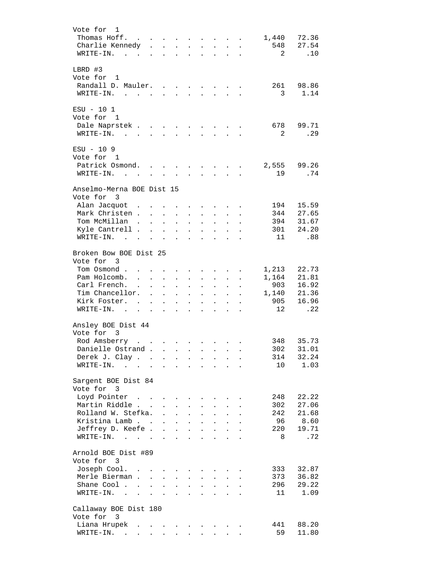| Vote for<br>1<br>Thomas Hoff.<br>$\mathcal{L}(\mathcal{A})$ . The contribution of $\mathcal{A}(\mathcal{A})$<br>Charlie Kennedy<br>WRITE-IN.<br>$\sim$<br>$\sim$ |                                      |                                          | the contract of the contract of the contract of                  |                                                                      | $\ddot{\phantom{0}}$                 | $\ddot{\phantom{a}}$                                    | $\mathbf{L} = \mathbf{L} \mathbf{L}$<br><b>Contractor</b> | $\ddot{\phantom{a}}$ | 1,440<br>548<br>2 | 72.36<br>27.54<br>.10 |
|------------------------------------------------------------------------------------------------------------------------------------------------------------------|--------------------------------------|------------------------------------------|------------------------------------------------------------------|----------------------------------------------------------------------|--------------------------------------|---------------------------------------------------------|-----------------------------------------------------------|----------------------|-------------------|-----------------------|
| LBRD #3<br>Vote for 1                                                                                                                                            |                                      |                                          |                                                                  |                                                                      |                                      |                                                         |                                                           |                      |                   |                       |
| Randall D. Mauler.<br>WRITE-IN.                                                                                                                                  |                                      |                                          |                                                                  |                                                                      |                                      |                                                         |                                                           |                      | 261<br>3          | 98.86<br>1.14         |
| $ESU - 101$<br>Vote for 1                                                                                                                                        |                                      |                                          |                                                                  |                                                                      |                                      |                                                         |                                                           |                      |                   |                       |
| Dale Naprstek<br>WRITE-IN.                                                                                                                                       |                                      | $\mathcal{L}^{\mathcal{L}}$              | $\mathbf{L}$                                                     |                                                                      | $\mathbf{r} = \mathbf{r}$            | $\mathbf{A}$ and $\mathbf{A}$                           | $\bullet$                                                 |                      | 678<br>2          | 99.71<br>.29          |
| $ESU - 109$                                                                                                                                                      |                                      |                                          |                                                                  |                                                                      |                                      |                                                         |                                                           |                      |                   |                       |
| Vote for 1<br>Patrick Osmond<br>WRITE-IN.                                                                                                                        |                                      |                                          |                                                                  | $\ddot{\phantom{a}}$                                                 |                                      | $\sim 100$                                              | $\sim 100$                                                |                      | 2,555<br>19       | 99.26<br>.74          |
| Anselmo-Merna BOE Dist 15                                                                                                                                        |                                      |                                          |                                                                  |                                                                      |                                      |                                                         |                                                           |                      |                   |                       |
| Vote for 3                                                                                                                                                       |                                      |                                          |                                                                  |                                                                      |                                      |                                                         |                                                           |                      |                   |                       |
| Alan Jacquot                                                                                                                                                     |                                      |                                          | $\ddot{\phantom{a}}$                                             |                                                                      |                                      |                                                         |                                                           |                      | 194               | 15.59                 |
| Mark Christen<br>Tom McMillan.                                                                                                                                   |                                      |                                          | $\sim 10^{-11}$                                                  | $\ddot{\phantom{a}}$                                                 |                                      | $\ddot{\phantom{0}}$                                    |                                                           |                      | 344               | 27.65                 |
| Kyle Cantrell .                                                                                                                                                  | $\ddot{\phantom{a}}$<br>$\mathbf{L}$ | $\mathbf{L}^{\text{max}}$                | $\ddot{\phantom{a}}$                                             | $\ddot{\phantom{a}}$                                                 | $\ddot{\phantom{a}}$                 | $\ddot{\phantom{a}}$                                    | $\ddot{\phantom{a}}$                                      |                      | 394<br>301        | 31.67<br>24.20        |
| WRITE-IN.<br>$\mathbf{r}$ , $\mathbf{r}$ , $\mathbf{r}$ , $\mathbf{r}$<br>$\ddot{\phantom{a}}$                                                                   |                                      | $\mathbf{L}$                             | $\ddot{\phantom{a}}$<br>$\cdot$                                  | $\mathbf{r}$<br>$\ddot{\phantom{a}}$                                 | $\mathbf{L}$<br>$\ddot{\phantom{a}}$ | $\mathbf{r}$<br>$\ddot{\phantom{a}}$                    | $\mathbf{r}$                                              |                      | 11                | .88                   |
| Broken Bow BOE Dist 25                                                                                                                                           |                                      |                                          |                                                                  |                                                                      |                                      |                                                         |                                                           |                      |                   |                       |
| Vote for 3                                                                                                                                                       |                                      |                                          |                                                                  |                                                                      |                                      |                                                         |                                                           |                      |                   |                       |
| Tom Osmond .<br>$\mathbf{r}$                                                                                                                                     |                                      |                                          |                                                                  | $\sim$                                                               | $\ddot{\phantom{0}}$                 | $\sim$                                                  | $\sim$                                                    |                      | 1,213             | 22.73                 |
| Pam Holcomb.<br>$\ddot{\phantom{a}}$                                                                                                                             | $\sim$                               | $\ddot{\phantom{0}}$                     | $\ddot{\phantom{0}}$                                             | $\ddot{\phantom{a}}$                                                 | $\ddot{\phantom{0}}$                 | $\ddot{\phantom{0}}$                                    | $\sim$                                                    | $\ddot{\phantom{a}}$ | 1,164             | 21.81                 |
| Carl French.<br>$\ddot{\phantom{a}}$                                                                                                                             | $\ddot{\phantom{a}}$                 | $\mathbf{L}^{\text{max}}$                | $\sim$ $-$                                                       | $\sim$                                                               | $\ddot{\phantom{0}}$                 | $\ddot{\phantom{a}}$                                    | $\mathbf{L}$                                              |                      | 903               | 16.92                 |
| Tim Chancellor.                                                                                                                                                  | $\ddot{\phantom{a}}$                 | $\mathcal{L}^{\text{max}}$               |                                                                  | $\mathbf{r} = \mathbf{r} + \mathbf{r}$ .                             | $\ddot{\phantom{0}}$                 | $\mathbf{L}^{\text{max}}$                               | $\mathbf{L}^{\text{max}}$                                 | $\ddot{\phantom{a}}$ | 1,140             | 21.36                 |
| Kirk Foster.<br>$\sim$ $\sim$                                                                                                                                    |                                      |                                          | $\mathbf{r} = \mathbf{r} + \mathbf{r} + \mathbf{r} + \mathbf{r}$ |                                                                      | $\mathbf{L}^{\text{max}}$            |                                                         | $\mathbf{u} = \mathbf{u} \cdot \mathbf{u}$                | $\ddot{\phantom{a}}$ | 905               | 16.96                 |
| WRITE-IN.                                                                                                                                                        |                                      |                                          |                                                                  |                                                                      | $\ddot{\phantom{a}}$                 |                                                         | $\mathcal{L}^{\text{max}}$ and $\mathcal{L}^{\text{max}}$ |                      | 12                | .22                   |
| Ansley BOE Dist 44                                                                                                                                               |                                      |                                          |                                                                  |                                                                      |                                      |                                                         |                                                           |                      |                   |                       |
| Vote for 3                                                                                                                                                       |                                      |                                          |                                                                  |                                                                      |                                      |                                                         |                                                           |                      |                   |                       |
| Rod Amsberry                                                                                                                                                     |                                      |                                          |                                                                  |                                                                      |                                      |                                                         |                                                           |                      | 348               | 35.73                 |
| Danielle Ostrand<br>Derek J. Clay.                                                                                                                               |                                      | $\mathcal{L}$ . The set of $\mathcal{L}$ |                                                                  |                                                                      |                                      |                                                         |                                                           |                      | 302<br>314        | 31.01<br>32.24        |
| WRITE-IN.<br>$\mathcal{L}(\mathcal{A})$ and $\mathcal{L}(\mathcal{A})$                                                                                           | $\ddot{\phantom{a}}$                 |                                          |                                                                  |                                                                      |                                      |                                                         |                                                           |                      | 10 <sup>°</sup>   | 1.03                  |
| Sargent BOE Dist 84                                                                                                                                              |                                      |                                          |                                                                  |                                                                      |                                      |                                                         |                                                           |                      |                   |                       |
| Vote for 3                                                                                                                                                       |                                      |                                          |                                                                  |                                                                      |                                      |                                                         |                                                           |                      |                   |                       |
| Loyd Pointer                                                                                                                                                     |                                      |                                          | $\ddot{\phantom{a}}$                                             |                                                                      |                                      |                                                         |                                                           |                      | 248               | 22.22                 |
| Martin Riddle                                                                                                                                                    |                                      | $\bullet$                                | $\ddot{\phantom{a}}$                                             | $\ddot{\phantom{a}}$                                                 |                                      |                                                         |                                                           |                      | 302               | 27.06                 |
| Rolland W. Stefka.                                                                                                                                               |                                      | $\ddot{\phantom{0}}$                     | $\ddot{\phantom{a}}$                                             | $\ddot{\phantom{a}}$                                                 | $\ddot{\phantom{a}}$                 |                                                         |                                                           |                      | 242               | 21.68                 |
| Kristina Lamb                                                                                                                                                    |                                      | $\ddot{\phantom{0}}$                     | $\mathbf{L}$                                                     | $\ddot{\phantom{a}}$                                                 | $\ddot{\phantom{a}}$                 | $\ddot{\phantom{0}}$                                    | $\ddot{\phantom{0}}$                                      |                      | 96                | 8.60                  |
| Jeffrey D. Keefe                                                                                                                                                 |                                      |                                          |                                                                  |                                                                      | $\mathbf{r}$                         | $\ddot{\phantom{a}}$                                    | $\ddot{\phantom{a}}$                                      |                      | 220               | 19.71                 |
| WRITE-IN.                                                                                                                                                        |                                      |                                          |                                                                  |                                                                      |                                      |                                                         | <b>Contractor</b>                                         | $\ddot{\phantom{a}}$ | 8                 | .72                   |
| Arnold BOE Dist #89<br>Vote for 3                                                                                                                                |                                      |                                          |                                                                  |                                                                      |                                      |                                                         |                                                           |                      |                   |                       |
| Joseph Cool.                                                                                                                                                     |                                      |                                          |                                                                  |                                                                      |                                      |                                                         |                                                           |                      | 333               | 32.87                 |
| Merle Bierman                                                                                                                                                    |                                      |                                          | $\mathbf{z} = \mathbf{z} + \mathbf{z}$ . The set of $\mathbf{z}$ | $\mathbf{L}$                                                         |                                      | $\ddot{\phantom{a}}$                                    |                                                           |                      | 373               | 36.82                 |
| Shane Cool.<br>$\mathbf{r}$ , $\mathbf{r}$ , $\mathbf{r}$ , $\mathbf{r}$                                                                                         |                                      |                                          |                                                                  | $\mathbf{r} = \left\{ \mathbf{r}_1, \ldots, \mathbf{r}_n \right\}$ . |                                      | $\mathbf{L}^{\text{max}}$                               | $\mathcal{L}^{\text{max}}$                                | $\ddot{\phantom{a}}$ | 296               | 29.22                 |
| WRITE-IN.                                                                                                                                                        |                                      |                                          |                                                                  |                                                                      |                                      | $\mathbf{L}^{\text{max}}$ and $\mathbf{L}^{\text{max}}$ | <b>Contract Contract</b>                                  |                      | 11                | 1.09                  |
| Callaway BOE Dist 180                                                                                                                                            |                                      |                                          |                                                                  |                                                                      |                                      |                                                         |                                                           |                      |                   |                       |
| Vote for 3                                                                                                                                                       |                                      |                                          |                                                                  |                                                                      |                                      |                                                         |                                                           |                      |                   |                       |
| Liana Hrupek                                                                                                                                                     |                                      |                                          |                                                                  |                                                                      |                                      |                                                         |                                                           |                      | 441               | 88.20                 |
| WRITE-IN.                                                                                                                                                        |                                      |                                          |                                                                  |                                                                      |                                      |                                                         |                                                           |                      | 59                | 11.80                 |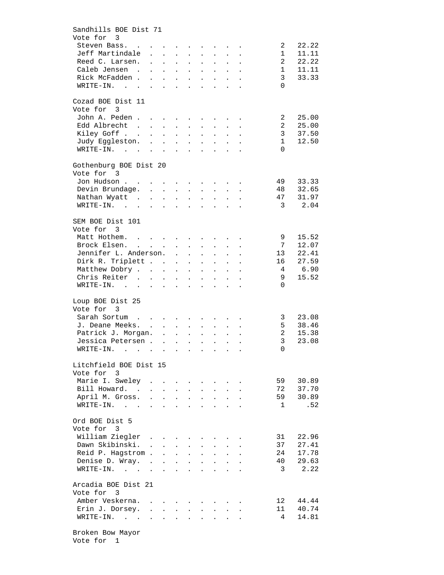| Sandhills BOE Dist 71                                                                                 |               |                                      |                                               |                                                           |                                                             |                                                       |                            |                                                                                                 |                                  |                |
|-------------------------------------------------------------------------------------------------------|---------------|--------------------------------------|-----------------------------------------------|-----------------------------------------------------------|-------------------------------------------------------------|-------------------------------------------------------|----------------------------|-------------------------------------------------------------------------------------------------|----------------------------------|----------------|
| Vote for 3                                                                                            |               |                                      |                                               |                                                           |                                                             |                                                       |                            |                                                                                                 |                                  |                |
| Steven Bass.                                                                                          |               |                                      |                                               |                                                           |                                                             |                                                       |                            |                                                                                                 | 2                                | 22.22          |
| Jeff Martindale                                                                                       |               |                                      |                                               |                                                           |                                                             |                                                       |                            |                                                                                                 | $\mathbf{1}$                     | 11.11          |
| Reed C. Larsen.                                                                                       |               |                                      | $\mathbf{r}$ , $\mathbf{r}$ , $\mathbf{r}$    |                                                           |                                                             |                                                       |                            | $\mathbf{r} = \mathbf{r} \cdot \mathbf{r}$ , where $\mathbf{r} = \mathbf{r} \cdot \mathbf{r}$   | 2                                | 22.22          |
| Caleb Jensen.                                                                                         |               | $\mathbf{L}^{\text{max}}$            | $\Delta \phi = \Delta \phi = \Delta \phi = 0$ |                                                           |                                                             |                                                       |                            | $\mathbf{r} = \mathbf{r} \times \mathbf{r}$ , where $\mathbf{r} = \mathbf{r} \times \mathbf{r}$ | 1                                | 11.11          |
| Rick McFadden                                                                                         |               | $\Delta \sim 10^{-11}$               |                                               | $\mathbf{L}^{\text{max}}$ , $\mathbf{L}^{\text{max}}$     |                                                             | $\mathbf{L}^{\text{max}}$ , $\mathbf{L}^{\text{max}}$ |                            |                                                                                                 | 3                                | 33.33          |
| $\texttt{WRTTE-IN.}$                                                                                  |               | $\sim$                               |                                               | $\mathbf{z} = \mathbf{z} + \mathbf{z}$ .                  | $\sim$                                                      | $\sim$ 10 $\pm$                                       |                            | $\mathbf{L} = \mathbf{L}$                                                                       | $\Omega$                         |                |
| Cozad BOE Dist 11                                                                                     |               |                                      |                                               |                                                           |                                                             |                                                       |                            |                                                                                                 |                                  |                |
| Vote for 3                                                                                            |               |                                      |                                               |                                                           |                                                             |                                                       |                            |                                                                                                 |                                  |                |
| John A. Peden                                                                                         |               |                                      |                                               |                                                           |                                                             |                                                       |                            |                                                                                                 | 2                                | 25.00          |
| Edd Albrecht                                                                                          |               |                                      |                                               | $\ddot{\phantom{a}}$                                      |                                                             | $\mathbf{z} = \mathbf{z}$                             |                            |                                                                                                 | 2                                | 25.00          |
| Kiley Goff<br>Judy Eggleston.                                                                         |               |                                      |                                               |                                                           |                                                             |                                                       |                            |                                                                                                 | 3                                | 37.50          |
|                                                                                                       |               |                                      |                                               |                                                           |                                                             |                                                       |                            |                                                                                                 | $\mathbf{1}$                     | 12.50          |
| $\mathcal{A}$ . The set of the set of the set of the set of the set of the $\mathcal{A}$<br>WRITE-IN. |               |                                      |                                               |                                                           |                                                             |                                                       |                            |                                                                                                 | $\Omega$                         |                |
| Gothenburg BOE Dist 20                                                                                |               |                                      |                                               |                                                           |                                                             |                                                       |                            |                                                                                                 |                                  |                |
| Vote for 3                                                                                            |               |                                      |                                               |                                                           |                                                             |                                                       |                            |                                                                                                 |                                  |                |
| Jon Hudson                                                                                            |               |                                      |                                               |                                                           |                                                             |                                                       |                            |                                                                                                 | 49                               | 33.33          |
| Devin Brundage.                                                                                       |               |                                      |                                               |                                                           |                                                             |                                                       |                            |                                                                                                 | 48                               | 32.65          |
| Nathan Wyatt                                                                                          |               |                                      |                                               |                                                           |                                                             |                                                       |                            |                                                                                                 | 47                               | 31.97          |
| WRITE-IN.                                                                                             |               |                                      |                                               |                                                           |                                                             |                                                       |                            |                                                                                                 | $\overline{3}$                   | 2.04           |
|                                                                                                       |               |                                      |                                               |                                                           |                                                             |                                                       |                            |                                                                                                 |                                  |                |
| SEM BOE Dist 101                                                                                      |               |                                      |                                               |                                                           |                                                             |                                                       |                            |                                                                                                 |                                  |                |
| Vote for 3                                                                                            |               |                                      |                                               |                                                           |                                                             |                                                       |                            |                                                                                                 |                                  |                |
| Matt Hothem.                                                                                          |               |                                      |                                               |                                                           |                                                             |                                                       |                            |                                                                                                 | $\overline{9}$<br>$\overline{7}$ | 15.52<br>12.07 |
| Brock Elsen.                                                                                          |               |                                      |                                               |                                                           |                                                             |                                                       |                            |                                                                                                 |                                  |                |
| Jennifer L. Anderson.                                                                                 |               |                                      |                                               |                                                           |                                                             | $\mathbf{z} = \mathbf{z} + \mathbf{z}$ .              |                            | $\mathbf{L} = \mathbf{L}$                                                                       | 13                               | 22.41          |
| Dirk R. Triplett                                                                                      |               |                                      |                                               |                                                           |                                                             | $\mathbf{z} = \mathbf{z} + \mathbf{z}$ .              |                            | $\Delta\phi$ and $\Delta\phi$ and $\Delta\phi$                                                  | 16                               | 27.59          |
| Matthew Dobry                                                                                         |               |                                      |                                               |                                                           |                                                             | $\mathbf{L}^{\text{max}}$ , $\mathbf{L}^{\text{max}}$ |                            | $\mathbf{z} = \mathbf{z} + \mathbf{z}$ .                                                        | $\overline{4}$                   | 6.90<br>15.52  |
| Chris Reiter<br>WRITE-IN.                                                                             |               | $\mathcal{L}^{\text{max}}$           | $\mathcal{L}^{\text{max}}$                    | $\mathcal{L}^{\text{max}}$                                | $\bullet$ .                                                 | $\bullet$                                             | $\mathcal{L}^{\text{max}}$ | $\ddot{\phantom{a}}$                                                                            | 9<br>$\Omega$                    |                |
|                                                                                                       |               |                                      |                                               |                                                           |                                                             |                                                       | $\ddot{\phantom{a}}$       | $\sim$                                                                                          |                                  |                |
| Loup BOE Dist 25                                                                                      |               |                                      |                                               |                                                           |                                                             |                                                       |                            |                                                                                                 |                                  |                |
| Vote for 3                                                                                            |               |                                      |                                               |                                                           |                                                             |                                                       |                            |                                                                                                 |                                  |                |
| Sarah Sortum                                                                                          |               |                                      |                                               |                                                           |                                                             |                                                       |                            |                                                                                                 | 3                                | 23.08          |
| J. Deane Meeks. .                                                                                     |               | $\Delta \sim 10^4$                   | $\mathcal{L}^{\text{max}}$                    | $\mathbf{L}^{\text{max}}$                                 |                                                             |                                                       |                            |                                                                                                 | 5                                | 38.46          |
| Patrick J. Morgan.                                                                                    |               |                                      |                                               |                                                           | $\sim$                                                      | $\sim$                                                |                            | $\mathbf{L} = \mathbf{L}$                                                                       | 2                                | 15.38          |
| Jessica Petersen                                                                                      |               |                                      |                                               |                                                           |                                                             |                                                       |                            |                                                                                                 | 3                                | 23.08          |
| WRITE-IN.                                                                                             |               |                                      |                                               |                                                           |                                                             |                                                       |                            |                                                                                                 | 0                                |                |
| Litchfield BOE Dist 15                                                                                |               |                                      |                                               |                                                           |                                                             |                                                       |                            |                                                                                                 |                                  |                |
| Vote for 3                                                                                            |               |                                      |                                               |                                                           |                                                             |                                                       |                            |                                                                                                 |                                  |                |
| Marie I. Sweley                                                                                       |               |                                      |                                               |                                                           |                                                             |                                                       | $\mathbf{L} = \mathbf{L}$  |                                                                                                 | 59                               | 30.89          |
| Bill Howard.                                                                                          |               |                                      |                                               |                                                           | $\mathbf{L}$                                                | $\mathbf{L}$                                          | $\mathbf{L}^{\text{max}}$  | $\ddot{\phantom{a}}$                                                                            | 72                               | 37.70          |
| April M. Gross.                                                                                       |               |                                      |                                               | $\mathbf{L} = \mathbf{L}$                                 | $\mathcal{L}^{\text{max}}$                                  | $\mathbf{L}^{\text{max}}$                             |                            | $\mathbf{L}^{\text{max}}$ and $\mathbf{L}^{\text{max}}$                                         | 59                               | 30.89          |
| WRITE-IN.                                                                                             |               |                                      |                                               | $\mathbf{z} = \mathbf{z} + \mathbf{z}$ . The $\mathbf{z}$ | $\bullet$ .<br><br><br><br><br><br><br><br><br><br><br><br> | $\bullet$                                             |                            | $\mathbf{L}^{\text{max}}$ and $\mathbf{L}^{\text{max}}$                                         | 1                                | .52            |
| Ord BOE Dist 5                                                                                        |               |                                      |                                               |                                                           |                                                             |                                                       |                            |                                                                                                 |                                  |                |
| Vote for 3                                                                                            |               |                                      |                                               |                                                           |                                                             |                                                       |                            |                                                                                                 |                                  |                |
|                                                                                                       |               |                                      |                                               |                                                           |                                                             |                                                       |                            |                                                                                                 |                                  | 22.96          |
| William Ziegler<br>Dawn Skibinski. .                                                                  |               |                                      |                                               |                                                           |                                                             |                                                       |                            |                                                                                                 | 31<br>37                         | 27.41          |
|                                                                                                       |               | $\mathbf{L}$                         | $\mathbf{L}$                                  | $\mathcal{L}^{\text{max}}$                                | $\ddot{\phantom{a}}$                                        | $\ddot{\phantom{a}}$                                  |                            |                                                                                                 | 24                               | 17.78          |
| Reid P. Hagstrom.                                                                                     |               | $\ddot{\phantom{a}}$                 | $\mathcal{L}^{\text{max}}$                    | $\ddot{\phantom{a}}$                                      | $\ddot{\phantom{a}}$                                        | $\ddot{\phantom{0}}$                                  |                            |                                                                                                 | 40                               | 29.63          |
| Denise D. Wray.                                                                                       | $\sim$ $\sim$ | $\sim 100$                           | $\ddot{\phantom{a}}$                          | $\ddot{\phantom{a}}$                                      |                                                             |                                                       |                            |                                                                                                 |                                  |                |
| $\texttt{WRTTE-IN.}$                                                                                  |               | $\ddot{\phantom{0}}$                 |                                               |                                                           |                                                             |                                                       |                            |                                                                                                 | 3                                | 2.22           |
| Arcadia BOE Dist 21                                                                                   |               |                                      |                                               |                                                           |                                                             |                                                       |                            |                                                                                                 |                                  |                |
| Vote for 3                                                                                            |               |                                      |                                               |                                                           |                                                             |                                                       |                            |                                                                                                 |                                  |                |
| Amber Veskerna.                                                                                       | $\sim$        |                                      | $\mathbf{L} = \mathbf{L} \mathbf{L}$          |                                                           |                                                             |                                                       |                            |                                                                                                 | 12                               | 44.44          |
| Erin J. Dorsey.                                                                                       |               |                                      | $\mathcal{L}^{\text{max}}$                    | $\bullet$                                                 | $\ddot{\phantom{a}}$                                        | $\Box$                                                |                            |                                                                                                 | 11                               | 40.74          |
| $WRITE-IN.$                                                                                           |               | $\ddot{\phantom{0}}$<br>$\mathbf{L}$ | $\mathbf{r}$                                  |                                                           |                                                             |                                                       |                            |                                                                                                 | 4                                | 14.81          |
|                                                                                                       |               |                                      |                                               |                                                           |                                                             |                                                       |                            |                                                                                                 |                                  |                |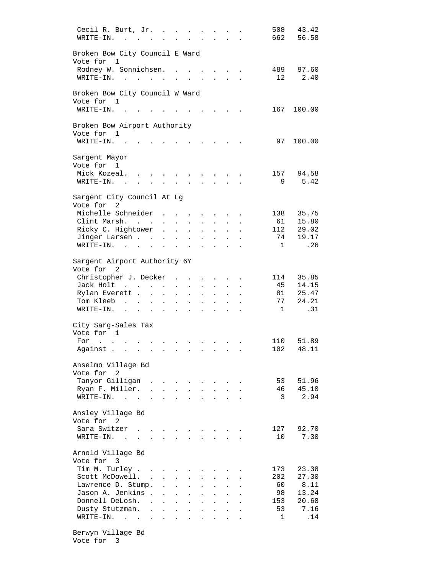| Cecil R. Burt, Jr.<br>WRITE-IN.                           | <b>Contract Contract Contract</b><br>$\sim$                                             |                                                                                                 |                      |                                                     |                                        |                                                                  |                                   |  | 508                | 43.42<br>662 56.58 |
|-----------------------------------------------------------|-----------------------------------------------------------------------------------------|-------------------------------------------------------------------------------------------------|----------------------|-----------------------------------------------------|----------------------------------------|------------------------------------------------------------------|-----------------------------------|--|--------------------|--------------------|
| Broken Bow City Council E Ward<br>Vote for 1              |                                                                                         |                                                                                                 |                      |                                                     |                                        |                                                                  |                                   |  |                    |                    |
| Rodney W. Sonnichsen. .<br>WRITE-IN.                      |                                                                                         |                                                                                                 | $\ddot{\phantom{0}}$ | $\ddot{\phantom{a}}$                                | <b>Contract Contract</b>               |                                                                  | $\mathbf{L}$ and $\mathbf{L}$     |  | 489<br>12          | 97.60<br>2.40      |
| Broken Bow City Council W Ward<br>Vote for 1              |                                                                                         |                                                                                                 |                      |                                                     |                                        |                                                                  |                                   |  |                    |                    |
| WRITE-IN.                                                 |                                                                                         |                                                                                                 |                      |                                                     |                                        |                                                                  |                                   |  | 167                | 100.00             |
| Broken Bow Airport Authority<br>Vote for 1<br>WRITE-IN. . |                                                                                         |                                                                                                 |                      |                                                     |                                        |                                                                  |                                   |  | 97                 | 100.00             |
| Sargent Mayor                                             |                                                                                         |                                                                                                 |                      |                                                     |                                        |                                                                  |                                   |  |                    |                    |
| Vote for 1                                                |                                                                                         |                                                                                                 |                      |                                                     |                                        |                                                                  |                                   |  |                    | 94.58              |
| Mick Kozeal.<br>$WRITE-TN.$                               |                                                                                         | $\sim$                                                                                          | $\sim$               | $\mathbf{z} = \mathbf{z} - \mathbf{z}$<br>$\bullet$ | $\sim$                                 |                                                                  |                                   |  | 157<br>9           | 5.42               |
| Sargent City Council At Lg<br>Vote for 2                  |                                                                                         |                                                                                                 |                      |                                                     |                                        |                                                                  |                                   |  |                    |                    |
| Michelle Schneider                                        |                                                                                         |                                                                                                 |                      |                                                     |                                        | $\mathbf{z} = \mathbf{z} + \mathbf{z} + \mathbf{z} + \mathbf{z}$ |                                   |  | 138                | 35.75              |
| Clint Marsh.                                              |                                                                                         | $\mathbf{a}^{\prime}$ , $\mathbf{a}^{\prime}$ , $\mathbf{a}^{\prime}$ , $\mathbf{a}^{\prime}$ , |                      |                                                     | $\ddot{\phantom{0}}$                   | $\mathbf{L}^{\text{max}}$                                        | $\ddot{\phantom{a}}$              |  | 61                 | 15.80              |
| Ricky C. Hightower                                        |                                                                                         | $\mathcal{L}^{\mathcal{L}}$                                                                     | $\ddot{\phantom{a}}$ | $\ddot{\phantom{a}}$                                | $\ddot{\phantom{0}}$                   | $\Box$                                                           |                                   |  | 112                | 29.02              |
| Jinger Larsen<br>$\texttt{WRTTE-IN.}$                     |                                                                                         | $\sim$                                                                                          | $\ddot{\phantom{a}}$ | $\mathbf{r}$                                        | $\ddot{\phantom{a}}$                   |                                                                  |                                   |  | 74<br>$\mathbf{1}$ | 19.17<br>.26       |
|                                                           |                                                                                         | $\sim$                                                                                          | $\ddot{\phantom{a}}$ | $\mathbf{r}$                                        |                                        | $\sim$                                                           |                                   |  |                    |                    |
| Sargent Airport Authority 6Y<br>Vote for 2                |                                                                                         |                                                                                                 |                      |                                                     |                                        |                                                                  |                                   |  |                    |                    |
| Christopher J. Decker                                     |                                                                                         |                                                                                                 |                      |                                                     |                                        |                                                                  | <b>Service</b> State              |  | 114                | 35.85              |
| Jack Holt                                                 | $\mathcal{L}_{\text{max}}(\mathcal{A})$ , where $\mathcal{A}$ is a set of $\mathcal{A}$ |                                                                                                 | $\sim 100$           |                                                     |                                        |                                                                  |                                   |  | 45                 | 14.15              |
| Rylan Everett                                             |                                                                                         |                                                                                                 | $\sim$               | $\ddot{\phantom{a}}$                                | $\mathbf{L}$                           | $\ddot{\phantom{a}}$                                             | <b>Contract Contract Contract</b> |  | 81                 | 25.47<br>77 24.21  |
| Tom Kleeb<br>$\texttt{WRTTE-IN.}$                         | and the contract of the contract of                                                     |                                                                                                 |                      |                                                     | $\sim$                                 | $\ddot{\phantom{a}}$                                             | $\sim$                            |  | $\mathbf{1}$       | .31                |
|                                                           |                                                                                         |                                                                                                 |                      |                                                     | $\mathbf{z} = \mathbf{z} + \mathbf{z}$ |                                                                  | $\mathbf{L} = \mathbf{0}$         |  |                    |                    |
| City Sarg-Sales Tax<br>Vote for 1                         |                                                                                         |                                                                                                 |                      |                                                     |                                        |                                                                  |                                   |  |                    |                    |
| For<br>$\mathbf{r}$ , $\mathbf{r}$ , $\mathbf{r}$         |                                                                                         |                                                                                                 |                      | $\sim$ $\sim$ $\sim$                                |                                        |                                                                  |                                   |  | 110                | 51.89              |
| Against                                                   |                                                                                         |                                                                                                 |                      |                                                     |                                        |                                                                  |                                   |  | 102                | 48.11              |
| Anselmo Village Bd<br>Vote for 2                          |                                                                                         |                                                                                                 |                      |                                                     |                                        |                                                                  |                                   |  |                    |                    |
| Tanyor Gilligan.                                          |                                                                                         | $\mathbf{r} = \mathbf{r}$                                                                       |                      | $\sim$                                              | $\sim$                                 |                                                                  |                                   |  | 53                 | 51.96              |
| Ryan F. Miller.                                           |                                                                                         |                                                                                                 | $\sim$               | $\Delta \sim 10$                                    |                                        | $\Delta \sim 10$                                                 | $\sim$ $\sim$                     |  | 46                 | 45.10              |
| WRITE-IN.                                                 | $\sim$<br><b>Contract Contract</b>                                                      | $\mathbf{L}$                                                                                    | $\ddot{\phantom{a}}$ | $\sim$                                              |                                        |                                                                  |                                   |  | - 3                | 2.94               |
| Ansley Village Bd<br>Vote for 2                           |                                                                                         |                                                                                                 |                      |                                                     |                                        |                                                                  |                                   |  |                    |                    |
| Sara Switzer                                              |                                                                                         |                                                                                                 |                      |                                                     |                                        |                                                                  |                                   |  | 127                | 92.70              |
| WRITE-IN. .                                               | $\mathbf{r}$                                                                            |                                                                                                 |                      |                                                     |                                        | $\sim$                                                           | $\mathcal{L}^{\text{max}}$        |  | 10                 | 7.30               |
| Arnold Village Bd<br>Vote for 3                           |                                                                                         |                                                                                                 |                      |                                                     |                                        |                                                                  |                                   |  |                    |                    |
| Tim M. Turley                                             |                                                                                         |                                                                                                 |                      |                                                     |                                        |                                                                  |                                   |  | 173                | 23.38              |
| Scott McDowell. .                                         |                                                                                         |                                                                                                 |                      |                                                     |                                        |                                                                  |                                   |  | 202                | 27.30              |
| Lawrence D. Stump.                                        |                                                                                         | $\ddot{\phantom{0}}$                                                                            | $\ddot{\phantom{a}}$ | $\mathbf{r}$                                        |                                        |                                                                  |                                   |  | 60                 | 8.11               |
| Jason A. Jenkins .                                        |                                                                                         |                                                                                                 | $\ddot{\phantom{a}}$ | $\ddot{\phantom{a}}$                                |                                        | $\ddot{\phantom{a}}$                                             |                                   |  | 98                 | 13.24              |
| Donnell DeLosh. .                                         |                                                                                         | $\ddot{\phantom{a}}$                                                                            | $\ddot{\phantom{a}}$ | $\ddot{\phantom{a}}$                                | $\ddot{\phantom{0}}$                   | $\ddot{\phantom{a}}$                                             | $\ddot{\phantom{a}}$              |  | 153<br>53          | 20.68<br>7.16      |
| Dusty Stutzman. .<br>WRITE-IN.                            |                                                                                         | $\bullet$                                                                                       | $\ddot{\phantom{0}}$ |                                                     |                                        |                                                                  |                                   |  | 1                  | .14                |
|                                                           |                                                                                         |                                                                                                 |                      |                                                     |                                        |                                                                  |                                   |  |                    |                    |

 Berwyn Village Bd Vote for 3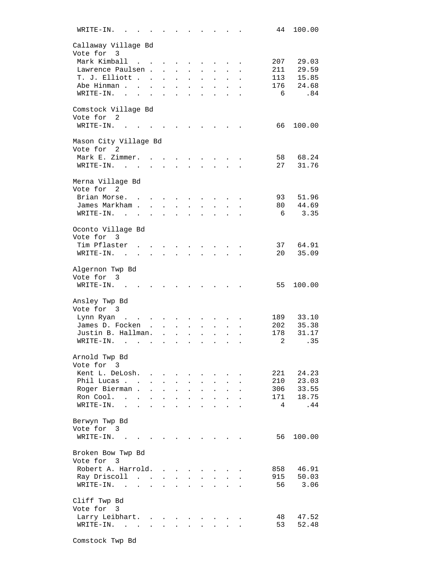| WRITE-IN.    |                                                           |                      |                           |                                          |                      |                      |                                                                  |                      |  | 44  | 100.00   |
|--------------|-----------------------------------------------------------|----------------------|---------------------------|------------------------------------------|----------------------|----------------------|------------------------------------------------------------------|----------------------|--|-----|----------|
|              | Callaway Village Bd                                       |                      |                           |                                          |                      |                      |                                                                  |                      |  |     |          |
| Vote for 3   |                                                           |                      |                           |                                          |                      |                      |                                                                  |                      |  |     |          |
|              | Mark Kimball<br>$\mathbf{r}$ . The set of $\mathbf{r}$    |                      |                           |                                          |                      |                      |                                                                  |                      |  | 207 | 29.03    |
|              | Lawrence Paulsen.                                         |                      | $\ddot{\phantom{a}}$      | $\ddot{\phantom{0}}$                     |                      |                      |                                                                  |                      |  | 211 | 29.59    |
|              | T. J. Elliott                                             |                      |                           | $\ddot{\phantom{a}}$                     | $\ddot{\phantom{a}}$ |                      |                                                                  |                      |  | 113 | 15.85    |
|              | Abe Hinman                                                |                      | $\mathbf{r}$              | $\mathbf{L}$                             | $\ddot{\phantom{a}}$ | $\ddot{\phantom{a}}$ | $\mathbf{r}$                                                     |                      |  | 176 | 24.68    |
| WRITE-IN.    | $\mathbf{r}$ , $\mathbf{r}$ , $\mathbf{r}$ , $\mathbf{r}$ |                      | $\mathbf{L}^{\text{max}}$ | $\ddot{\phantom{a}}$                     | $\sim$               |                      |                                                                  |                      |  | 6   | .84      |
|              |                                                           |                      |                           |                                          |                      |                      |                                                                  |                      |  |     |          |
|              | Comstock Village Bd                                       |                      |                           |                                          |                      |                      |                                                                  |                      |  |     |          |
| Vote for     | -2                                                        |                      |                           |                                          |                      |                      |                                                                  |                      |  |     |          |
| WRITE-IN.    |                                                           |                      |                           |                                          |                      |                      | $\sim$ $\sim$ $\sim$ $\sim$ $\sim$ $\sim$                        |                      |  | 66  | 100.00   |
|              |                                                           |                      |                           |                                          |                      |                      |                                                                  |                      |  |     |          |
|              | Mason City Village Bd                                     |                      |                           |                                          |                      |                      |                                                                  |                      |  |     |          |
| Vote for 2   |                                                           |                      |                           |                                          |                      |                      |                                                                  |                      |  |     |          |
|              | Mark E. Zimmer.                                           |                      |                           |                                          |                      |                      |                                                                  |                      |  | 58  | 68.24    |
|              | WRITE-IN.<br>$\ddot{\phantom{a}}$                         |                      |                           |                                          |                      |                      |                                                                  |                      |  | 27  | 31.76    |
|              |                                                           |                      |                           |                                          |                      |                      |                                                                  |                      |  |     |          |
|              | Merna Village Bd                                          |                      |                           |                                          |                      |                      |                                                                  |                      |  |     |          |
| Vote for 2   |                                                           |                      |                           |                                          |                      |                      |                                                                  |                      |  |     |          |
|              | Brian Morse.                                              |                      |                           |                                          |                      |                      |                                                                  |                      |  | 93  | 51.96    |
|              | James Markham .                                           | $\ddot{\phantom{a}}$ | $\bullet$                 | $\ddot{\phantom{0}}$                     |                      |                      |                                                                  |                      |  | 80  | 44.69    |
| WRITE-IN.    | $\sim$                                                    |                      |                           |                                          |                      |                      |                                                                  |                      |  | 6   | 3.35     |
|              |                                                           |                      |                           |                                          |                      |                      |                                                                  |                      |  |     |          |
|              | Oconto Village Bd                                         |                      |                           |                                          |                      |                      |                                                                  |                      |  |     |          |
| Vote for 3   |                                                           |                      |                           |                                          |                      |                      |                                                                  |                      |  |     |          |
|              | Tim Pflaster                                              |                      |                           |                                          |                      |                      |                                                                  |                      |  |     | 37 64.91 |
| WRITE-IN.    | $\sim$<br>$\ddot{\phantom{0}}$                            | $\ddot{\phantom{a}}$ |                           |                                          |                      |                      |                                                                  |                      |  | 20  | 35.09    |
|              |                                                           |                      |                           |                                          |                      |                      |                                                                  |                      |  |     |          |
|              | Algernon Twp Bd                                           |                      |                           |                                          |                      |                      |                                                                  |                      |  |     |          |
| Vote for 3   |                                                           |                      |                           |                                          |                      |                      |                                                                  |                      |  |     |          |
|              | $WRITE-IN.$ .                                             |                      |                           |                                          |                      |                      |                                                                  |                      |  | 55  | 100.00   |
|              |                                                           |                      |                           |                                          |                      |                      |                                                                  |                      |  |     |          |
|              | Ansley Twp Bd                                             |                      |                           |                                          |                      |                      |                                                                  |                      |  |     |          |
| Vote for 3   |                                                           |                      |                           |                                          |                      |                      |                                                                  |                      |  |     |          |
| Lynn Ryan    | $\sim$<br>$\sim$ $\sim$ $\sim$ $\sim$                     |                      |                           |                                          |                      |                      |                                                                  |                      |  | 189 | 33.10    |
|              | James D. Focken                                           | $\sim$               | $\mathbf{r}$              |                                          |                      |                      |                                                                  |                      |  | 202 | 35.38    |
|              | Justin B. Hallman.                                        |                      | $\ddot{\phantom{a}}$      | $\ddot{\phantom{a}}$                     |                      | $\ddot{\phantom{0}}$ |                                                                  |                      |  | 178 | 31.17    |
| WRITE-IN.    | $\sim$ $\sim$                                             |                      | $\ddot{\phantom{0}}$      | $\bullet$                                | $\bullet$            | $\ddot{\phantom{0}}$ | $\bullet$                                                        |                      |  | 2   | .35      |
|              |                                                           |                      |                           |                                          |                      |                      |                                                                  |                      |  |     |          |
|              | Arnold Twp Bd                                             |                      |                           |                                          |                      |                      |                                                                  |                      |  |     |          |
| Vote for 3   |                                                           |                      |                           |                                          |                      |                      |                                                                  |                      |  |     |          |
|              | Kent L. DeLosh.                                           |                      |                           |                                          |                      |                      | $\mathbf{r}$                                                     |                      |  | 221 | 24.23    |
|              | Phil Lucas                                                | $\mathbf{L}$         | $\mathbf{L}$              | $\mathbf{L}$                             | $\mathbf{L}$         | $\ddot{\phantom{a}}$ |                                                                  |                      |  | 210 | 23.03    |
|              | Roger Bierman.                                            | $\ddot{\phantom{a}}$ | $\ddot{\phantom{a}}$      | $\Box$                                   | $\bullet$            | $\ddot{\phantom{0}}$ | $\bullet$                                                        | $\ddot{\phantom{0}}$ |  | 306 | 33.55    |
| Ron Cool.    | $\ddot{\phantom{a}}$<br>$\ddot{\phantom{a}}$              | $\ddot{\phantom{a}}$ | $\bullet$                 | $\ddot{\phantom{0}}$                     | $\ddot{\phantom{a}}$ | $\ddot{\phantom{0}}$ | $\bullet$                                                        | $\ddot{\phantom{0}}$ |  | 171 | 18.75    |
| WRITE-IN.    | $\ddot{\phantom{a}}$<br>$\ddot{\phantom{a}}$              | $\ddot{\phantom{a}}$ |                           | $\ddot{\phantom{0}}$                     |                      |                      |                                                                  |                      |  | 4   | .44      |
|              |                                                           |                      |                           |                                          |                      |                      |                                                                  |                      |  |     |          |
|              | Berwyn Twp Bd                                             |                      |                           |                                          |                      |                      |                                                                  |                      |  |     |          |
| Vote for 3   |                                                           |                      |                           |                                          |                      |                      |                                                                  |                      |  |     |          |
|              | $WRITE-IN.$ .                                             |                      |                           |                                          |                      |                      |                                                                  |                      |  | 56  | 100.00   |
|              |                                                           |                      |                           |                                          |                      |                      |                                                                  |                      |  |     |          |
|              | Broken Bow Twp Bd                                         |                      |                           |                                          |                      |                      |                                                                  |                      |  |     |          |
| Vote for 3   |                                                           |                      |                           |                                          |                      |                      |                                                                  |                      |  |     |          |
|              | Robert A. Harrold.                                        |                      |                           |                                          |                      |                      |                                                                  |                      |  | 858 | 46.91    |
|              | Ray Driscoll                                              |                      |                           | $\mathbf{z} = \mathbf{z} + \mathbf{z}$ . | $\mathbf{L}$         | $\ddot{\phantom{a}}$ |                                                                  |                      |  | 915 | 50.03    |
| WRITE-IN.    | $\sim$<br>$\mathbf{r}$ . The set of $\mathbf{r}$          |                      | $\ddot{\phantom{a}}$      | $\ddot{\phantom{0}}$                     | $\ddot{\phantom{a}}$ | $\ddot{\phantom{a}}$ | $\bullet$                                                        | $\ddot{\phantom{0}}$ |  | 56  | 3.06     |
|              |                                                           |                      |                           |                                          |                      |                      |                                                                  |                      |  |     |          |
| Cliff Twp Bd |                                                           |                      |                           |                                          |                      |                      |                                                                  |                      |  |     |          |
| Vote for 3   |                                                           |                      |                           |                                          |                      |                      |                                                                  |                      |  |     |          |
|              | Larry Leibhart.                                           |                      |                           |                                          |                      |                      | $\mathbf{r}$ , $\mathbf{r}$ , $\mathbf{r}$                       |                      |  | 48  | 47.52    |
|              | $\texttt{WRTTE-IN.}$                                      |                      |                           |                                          | $\mathbf{L}$         |                      | $\mathbf{1}$ $\mathbf{1}$ $\mathbf{1}$ $\mathbf{1}$ $\mathbf{1}$ |                      |  | 53  | 52.48    |
|              |                                                           |                      |                           |                                          |                      |                      |                                                                  |                      |  |     |          |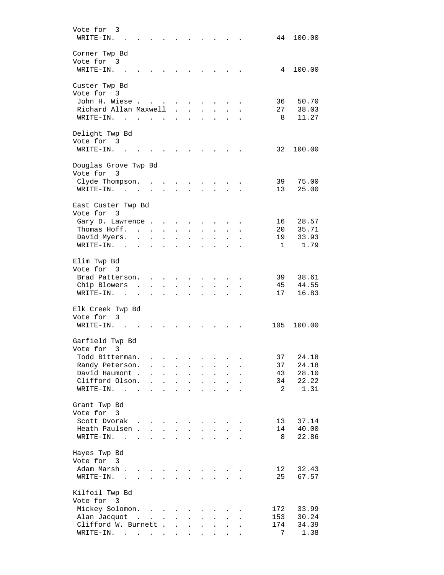| Vote for<br>3<br>WRITE-IN.                                                            |                      |                                      |                      |                                              |                      |                                   |                            |                      | 44              | 100.00         |
|---------------------------------------------------------------------------------------|----------------------|--------------------------------------|----------------------|----------------------------------------------|----------------------|-----------------------------------|----------------------------|----------------------|-----------------|----------------|
| Corner Twp Bd<br>Vote for 3<br>WRITE-IN.                                              |                      |                                      |                      |                                              |                      |                                   |                            |                      | 4               | 100.00         |
| Custer Twp Bd                                                                         |                      |                                      |                      |                                              |                      |                                   |                            |                      |                 |                |
| Vote for 3<br>John H. Wiese                                                           |                      |                                      |                      |                                              |                      |                                   |                            |                      | 36              | 50.70          |
| Richard Allan Maxwell<br>WRITE-IN.<br><b>Contract Contract Contract</b>               |                      | <b>Contract Contract</b>             | $\sim$               | $\ddot{\phantom{0}}$<br>$\ddot{\phantom{a}}$ | $\ddot{\phantom{a}}$ | $\ddot{\phantom{a}}$<br>$\bullet$ |                            |                      | 27<br>8         | 38.03<br>11.27 |
| Delight Twp Bd<br>Vote for 3                                                          |                      |                                      |                      |                                              |                      |                                   |                            |                      |                 |                |
| WRITE-IN.                                                                             |                      |                                      |                      |                                              |                      |                                   |                            |                      | 32              | 100.00         |
| Douglas Grove Twp Bd<br>Vote for 3                                                    |                      |                                      |                      |                                              |                      |                                   |                            |                      |                 |                |
| Clyde Thompson.<br>WRITE-IN.<br>$\sim$                                                |                      |                                      |                      |                                              |                      |                                   |                            |                      | 39<br>13        | 75.00<br>25.00 |
| East Custer Twp Bd<br>Vote for<br>-3                                                  |                      |                                      |                      |                                              |                      |                                   |                            |                      |                 |                |
| Gary D. Lawrence.                                                                     |                      |                                      |                      |                                              |                      |                                   |                            |                      | 16              | 28.57          |
| Thomas Hoff. .                                                                        | $\ddot{\phantom{a}}$ | $\sim$                               |                      |                                              |                      |                                   |                            |                      | 20              | 35.71          |
| David Myers.<br>$\sim$ $\sim$<br>WRITE-IN.<br>$\sim$<br>$\ddot{\phantom{a}}$          | $\sim$               | $\mathbf{L}$<br>$\ddot{\phantom{a}}$ | $\ddot{\phantom{0}}$ | $\mathcal{L}^{\mathcal{A}}$                  | $\ddot{\phantom{a}}$ | $\ddot{\phantom{a}}$              |                            |                      | 19<br>1         | 33.93<br>1.79  |
|                                                                                       |                      |                                      |                      |                                              |                      |                                   |                            |                      |                 |                |
| Elim Twp Bd<br>Vote for 3                                                             |                      |                                      |                      |                                              |                      |                                   |                            |                      |                 |                |
| Brad Patterson.                                                                       | $\mathbf{r}$         |                                      |                      |                                              |                      |                                   |                            |                      | 39              | 38.61          |
| Chip Blowers<br>$\sim$<br>WRITE-IN.<br>$\sim$                                         | $\mathbf{r}$         | $\mathbf{r}$                         | $\ddot{\phantom{a}}$ | $\ddot{\phantom{a}}$                         |                      | $\sim$                            |                            |                      | 45<br>17        | 44.55<br>16.83 |
|                                                                                       |                      |                                      |                      |                                              |                      |                                   |                            |                      |                 |                |
| Elk Creek Twp Bd<br>Vote for<br>-3                                                    |                      |                                      |                      |                                              |                      |                                   |                            |                      |                 |                |
| WRITE-IN.                                                                             |                      |                                      |                      |                                              |                      |                                   |                            |                      | 105             | 100.00         |
| Garfield Twp Bd                                                                       |                      |                                      |                      |                                              |                      |                                   |                            |                      |                 |                |
| Vote for 3                                                                            |                      |                                      |                      |                                              |                      |                                   |                            |                      |                 |                |
| Todd Bitterman.                                                                       | $\ddot{\phantom{a}}$ | $\sim$                               | $\ddot{\phantom{a}}$ |                                              |                      |                                   |                            |                      | 37              | 24.18<br>24.18 |
| Randy Peterson.<br>David Haumont .                                                    | $\ddot{\phantom{a}}$ | $\mathbf{L}$                         | $\ddot{\phantom{a}}$ | $\ddot{\phantom{a}}$                         | $\ddot{\phantom{0}}$ | $\ddot{\phantom{a}}$              |                            |                      | 37<br>43        | 28.10          |
| Clifford Olson.                                                                       | $\mathbf{r}$         | $\mathbf{L}$                         | $\mathbf{r}$         | $\mathbf{L}$                                 | $\overline{a}$       | $\mathbf{r}$                      | $\mathbf{r}$               |                      | 34              | 22.22          |
| $WRITE-IN.$                                                                           |                      | $\cdot$ $\cdot$ $\cdot$              |                      | $\sim$                                       | $\ddot{\phantom{a}}$ | $\ddot{\phantom{a}}$              | $\ddot{\phantom{a}}$       | $\ddot{\phantom{a}}$ | 2               | 1.31           |
| Grant Twp Bd                                                                          |                      |                                      |                      |                                              |                      |                                   |                            |                      |                 |                |
| Vote for 3                                                                            |                      |                                      |                      |                                              |                      |                                   |                            |                      |                 |                |
| Scott Dvorak                                                                          |                      | $\ddot{\phantom{a}}$                 |                      |                                              |                      |                                   |                            |                      | 13              | 37.14          |
| Heath Paulsen                                                                         |                      |                                      |                      | <b>Service</b>                               | $\mathbf{r}$         | $\mathbf{L}$                      | $\mathcal{L}^{\text{max}}$ |                      | 14              | 40.00          |
| WRITE-IN.<br>$\mathbf{r}$ , $\mathbf{r}$ , $\mathbf{r}$ , $\mathbf{r}$ , $\mathbf{r}$ |                      |                                      | $\ddot{\phantom{a}}$ | $\mathbf{L}$                                 | $\ddot{\phantom{a}}$ | $\ddot{\phantom{a}}$              | $\ddot{\phantom{a}}$       |                      | - 8             | 22.86          |
| Hayes Twp Bd<br>Vote for 3                                                            |                      |                                      |                      |                                              |                      |                                   |                            |                      |                 |                |
| Adam Marsh.<br>$\sim$                                                                 |                      |                                      |                      |                                              |                      |                                   |                            |                      | 12 <sub>1</sub> | 32.43          |
| WRITE-IN. .<br>$\mathcal{L}^{\text{max}}$                                             |                      |                                      |                      |                                              |                      |                                   |                            |                      | 25              | 67.57          |
| Kilfoil Twp Bd                                                                        |                      |                                      |                      |                                              |                      |                                   |                            |                      |                 |                |
| Vote for 3                                                                            |                      |                                      |                      |                                              |                      |                                   |                            |                      |                 |                |
| Mickey Solomon.                                                                       |                      |                                      |                      |                                              |                      |                                   |                            |                      | 172             | 33.99          |
| Alan Jacquot                                                                          |                      |                                      | $\ddot{\phantom{a}}$ | $\ddot{\phantom{a}}$                         |                      | $\ddot{\phantom{a}}$              |                            |                      | 153             | 30.24          |
| Clifford W. Burnett                                                                   |                      |                                      |                      | $\mathbf{L}$                                 | $\ddot{\phantom{a}}$ | $\ddot{\phantom{a}}$              | $\mathbf{L}$               |                      | 174             | 34.39          |
| $\texttt{WRTTE-IN.}$                                                                  |                      |                                      |                      | $\mathbf{L}^{\text{max}}$                    |                      | $\mathbf{L} = \mathbf{L}$         | $\mathbf{L}^{\text{max}}$  |                      | 7               | 1.38           |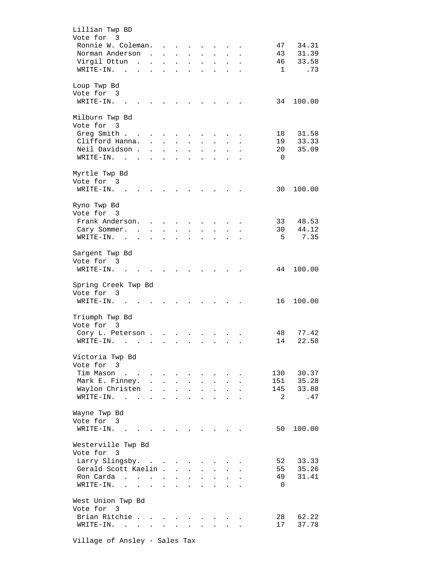| Lillian Twp BD               |                         |                      |                      |                           |                      |                      |                           |                      |           |                |           |
|------------------------------|-------------------------|----------------------|----------------------|---------------------------|----------------------|----------------------|---------------------------|----------------------|-----------|----------------|-----------|
| Vote for 3                   |                         |                      |                      |                           |                      |                      |                           |                      |           |                |           |
| Ronnie W. Coleman.           |                         |                      |                      |                           |                      |                      |                           |                      |           | 47             | 34.31     |
| Norman Anderson              |                         | $\sim$               | $\ddot{\phantom{a}}$ | $\mathbf{L}^{\text{max}}$ | $\ddot{\phantom{0}}$ | $\ddot{\phantom{a}}$ | $\bullet$                 | $\ddot{\phantom{0}}$ | $\bullet$ | 43             | 31.39     |
| Virgil Ottun                 | $\sim$                  |                      |                      | $\ddot{\phantom{0}}$      |                      |                      |                           |                      |           | 46             | 33.58     |
| WRITE-IN.<br>$\sim$          |                         |                      |                      |                           |                      |                      |                           |                      |           | $\mathbf{1}$   | .73       |
|                              |                         |                      |                      |                           |                      |                      |                           |                      |           |                |           |
| Loup Twp Bd                  |                         |                      |                      |                           |                      |                      |                           |                      |           |                |           |
| Vote for 3                   |                         |                      |                      |                           |                      |                      |                           |                      |           |                |           |
| WRITE-IN.                    |                         |                      |                      |                           |                      |                      |                           |                      |           | 34             | 100.00    |
|                              |                         |                      |                      |                           |                      |                      |                           |                      |           |                |           |
|                              |                         |                      |                      |                           |                      |                      |                           |                      |           |                |           |
| Milburn Twp Bd<br>Vote for 3 |                         |                      |                      |                           |                      |                      |                           |                      |           |                |           |
|                              |                         |                      |                      |                           |                      |                      |                           |                      |           |                |           |
| Greg Smith                   |                         |                      |                      |                           |                      |                      |                           |                      |           | 18             | 31.58     |
| Clifford Hanna.              |                         | $\ddot{\phantom{a}}$ | $\mathbf{L}$         |                           |                      |                      |                           |                      |           | 19             | 33.33     |
| Neil Davidson.               |                         |                      | $\ddot{\phantom{0}}$ | $\ddot{\phantom{a}}$      | $\bullet$            | $\ddot{\phantom{a}}$ | $\bullet$                 | $\bullet$            |           | 20             | 35.09     |
| WRITE-IN.<br>$\sim$ $\sim$   |                         |                      |                      |                           |                      |                      |                           |                      |           | 0              |           |
|                              |                         |                      |                      |                           |                      |                      |                           |                      |           |                |           |
| Myrtle Twp Bd                |                         |                      |                      |                           |                      |                      |                           |                      |           |                |           |
| Vote for 3                   |                         |                      |                      |                           |                      |                      |                           |                      |           |                |           |
| WRITE-IN.                    |                         |                      |                      |                           |                      |                      |                           |                      |           | 30             | 100.00    |
|                              |                         |                      |                      |                           |                      |                      |                           |                      |           |                |           |
| Ryno Twp Bd                  |                         |                      |                      |                           |                      |                      |                           |                      |           |                |           |
| Vote for 3                   |                         |                      |                      |                           |                      |                      |                           |                      |           |                |           |
| Frank Anderson.              |                         | $\sim$               | $\sim$               |                           |                      |                      |                           |                      |           | 33             | 48.53     |
| Cary Sommer.                 | $\sim$ $\sim$           | $\mathbf{L}$         | $\mathbf{L}$         | $\mathbf{r}$              |                      |                      |                           |                      |           | 30             | 44.12     |
| WRITE-IN.                    |                         |                      |                      |                           |                      |                      |                           |                      |           | -5             | 7.35      |
| $\sim$                       | $\ddot{\phantom{a}}$    |                      |                      |                           |                      |                      |                           |                      |           |                |           |
|                              |                         |                      |                      |                           |                      |                      |                           |                      |           |                |           |
| Sargent Twp Bd               |                         |                      |                      |                           |                      |                      |                           |                      |           |                |           |
| Vote for 3                   |                         |                      |                      |                           |                      |                      |                           |                      |           |                |           |
| WRITE-IN.                    |                         |                      |                      |                           |                      |                      |                           |                      |           | 44             | 100.00    |
|                              |                         |                      |                      |                           |                      |                      |                           |                      |           |                |           |
|                              |                         |                      |                      |                           |                      |                      |                           |                      |           |                |           |
| Spring Creek Twp Bd          |                         |                      |                      |                           |                      |                      |                           |                      |           |                |           |
| Vote for 3                   |                         |                      |                      |                           |                      |                      |                           |                      |           |                |           |
| WRITE-IN. .                  |                         |                      |                      |                           |                      |                      |                           |                      |           | 16             | 100.00    |
|                              |                         |                      |                      |                           |                      |                      |                           |                      |           |                |           |
| Triumph Twp Bd               |                         |                      |                      |                           |                      |                      |                           |                      |           |                |           |
| Vote for 3                   |                         |                      |                      |                           |                      |                      |                           |                      |           |                |           |
|                              |                         |                      |                      |                           |                      |                      |                           |                      |           |                |           |
| Cory L. Peterson.            |                         |                      |                      |                           |                      |                      |                           |                      |           | 48             | 77.42     |
| WRITE-IN.<br>$\sim$          |                         |                      |                      |                           |                      |                      |                           |                      |           | 14             | 22.58     |
|                              |                         |                      |                      |                           |                      |                      |                           |                      |           |                |           |
| Victoria Twp Bd              |                         |                      |                      |                           |                      |                      |                           |                      |           |                |           |
| Vote for 3                   |                         |                      |                      |                           |                      |                      |                           |                      |           |                |           |
| Tim Mason                    |                         |                      |                      | $\ddot{\phantom{a}}$      | $\ddot{\phantom{a}}$ |                      |                           |                      |           | 130            | 30.37     |
| Mark E. Finney.              |                         |                      |                      |                           | $\mathbf{L}$         | $\ddot{\phantom{a}}$ | $\ddot{\phantom{a}}$      | $\ddot{\phantom{a}}$ |           |                | 151 35.28 |
| Waylon Christen              |                         | $\ddot{\phantom{a}}$ | $\ddot{\phantom{0}}$ | $\bullet$                 | $\ddot{\phantom{a}}$ | $\ddot{\phantom{a}}$ | $\bullet$                 | $\ddot{\phantom{0}}$ |           | 145            | 33.88     |
| WRITE-IN.<br>$\sim$          | $\sim$ $\sim$           | $\ddot{\phantom{a}}$ | $\ddot{\phantom{0}}$ | $\ddot{\phantom{a}}$      | $\ddot{\phantom{a}}$ | $\ddot{\phantom{a}}$ | $\ddot{\phantom{a}}$      |                      |           | 2              | .47       |
|                              |                         |                      |                      |                           |                      |                      |                           |                      |           |                |           |
| Wayne Twp Bd                 |                         |                      |                      |                           |                      |                      |                           |                      |           |                |           |
| Vote for 3                   |                         |                      |                      |                           |                      |                      |                           |                      |           |                |           |
| WRITE-IN. .                  |                         |                      |                      |                           |                      |                      |                           |                      |           | 50             | 100.00    |
|                              |                         |                      |                      |                           |                      |                      |                           |                      |           |                |           |
|                              |                         |                      |                      |                           |                      |                      |                           |                      |           |                |           |
| Westerville Twp Bd           |                         |                      |                      |                           |                      |                      |                           |                      |           |                |           |
| Vote for 3                   |                         |                      |                      |                           |                      |                      |                           |                      |           |                |           |
| Larry Slingsby.              |                         |                      |                      |                           | $\sim$               | $\sim$               | $\ddot{\phantom{0}}$      |                      |           | 52             | 33.33     |
| Gerald Scott Kaelin.         |                         |                      |                      | <b>Service</b> State      |                      | $\mathbf{L}$         | $\ddot{\phantom{a}}$      |                      |           | 55             | 35.26     |
| Ron Carda                    |                         |                      |                      | $\ddot{\phantom{a}}$      | $\mathbf{L}$         | $\ddot{\phantom{a}}$ |                           | $\ddot{\phantom{a}}$ |           | 49             | 31.41     |
| WRITE-IN.<br>$\sim$ $\sim$   | $\cdot$ $\cdot$ $\cdot$ |                      | $\ddot{\phantom{0}}$ |                           | $\ddot{\phantom{a}}$ | $\ddot{\phantom{a}}$ | $\bullet$                 | $\Box$               |           | $\overline{0}$ |           |
|                              |                         |                      |                      |                           |                      |                      |                           |                      |           |                |           |
| West Union Twp Bd            |                         |                      |                      |                           |                      |                      |                           |                      |           |                |           |
| Vote for 3                   |                         |                      |                      |                           |                      |                      |                           |                      |           |                |           |
| Brian Ritchie                |                         |                      |                      |                           |                      |                      |                           |                      |           | 28             | 62.22     |
| WRITE-IN.                    |                         |                      |                      | $\ddot{\phantom{a}}$      |                      |                      | $\mathbf{L}^{\text{max}}$ | $\sim$               |           | 17             | 37.78     |

Village of Ansley - Sales Tax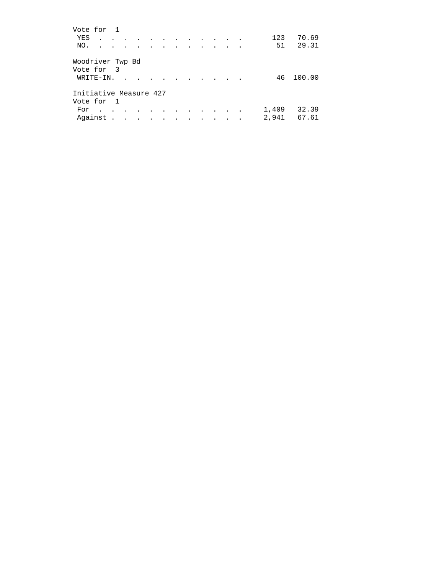| Vote for 1                     |               |                      |                      |        |                                |                      |  |                              |                          |                |                |
|--------------------------------|---------------|----------------------|----------------------|--------|--------------------------------|----------------------|--|------------------------------|--------------------------|----------------|----------------|
| YES                            | $\sim$        | $\sim$               | $\sim$               |        | $\cdot$                        | $\sim$               |  |                              | $\overline{\phantom{a}}$ | 123            | 70.69          |
| NO.                            | $\sim$        | $\ddot{\phantom{a}}$ | $\ddot{\phantom{a}}$ |        | $\cdot$                        | $\ddot{\phantom{a}}$ |  |                              |                          | 51             | 29.31          |
| Woodriver Twp Bd<br>Vote for 3 |               |                      |                      |        |                                |                      |  |                              |                          |                |                |
| WRITE-IN.                      |               | $\mathbf{r}$         |                      |        |                                |                      |  |                              |                          | 46             | 100.00         |
| Initiative Measure 427         |               |                      |                      |        |                                |                      |  |                              |                          |                |                |
| Vote for 1                     |               |                      |                      |        |                                |                      |  |                              |                          |                |                |
| For<br>$\sim$<br>Against.      | $\sim$ $\sim$ | $\ddot{\phantom{a}}$ |                      | $\sim$ | $\sim$<br>$\ddot{\phantom{a}}$ |                      |  | <b>Contract Contract Ave</b> |                          | 1,409<br>2,941 | 32.39<br>67.61 |
|                                |               |                      |                      |        |                                |                      |  |                              |                          |                |                |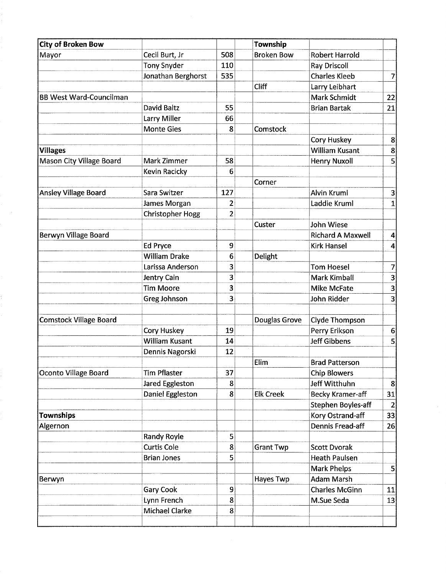| <b>City of Broken Bow</b>      |                      |                | Township          |                          |                  |
|--------------------------------|----------------------|----------------|-------------------|--------------------------|------------------|
| Mayor                          | Cecil Burt, Jr       | 508            | <b>Broken Bow</b> | <b>Robert Harrold</b>    |                  |
|                                | <b>Tony Snyder</b>   | 110            |                   | Ray Driscoll             |                  |
|                                | Jonathan Berghorst   | 535            |                   | <b>Charles Kleeb</b>     | $\overline{7}$   |
|                                |                      |                | Cliff             | Larry Leibhart           |                  |
| <b>BB West Ward-Councilman</b> |                      |                |                   | <b>Mark Schmidt</b>      | 22               |
|                                | David Baltz          | 55             |                   | <b>Brian Bartak</b>      | 21               |
|                                | Larry Miller         | 66             |                   |                          |                  |
|                                | <b>Monte Gies</b>    | 8              | Comstock          |                          |                  |
|                                |                      |                |                   | Cory Huskey              | $\mathbf{8}$     |
| <b>Villages</b>                |                      |                |                   | <b>William Kusant</b>    | $\boldsymbol{8}$ |
| Mason City Village Board       | Mark Zimmer          | 58             |                   | Henry Nuxoll             | 5                |
|                                | Kevin Racicky        | 6              |                   |                          |                  |
|                                |                      |                | Corner            |                          |                  |
| <b>Ansley Village Board</b>    | Sara Switzer         | 127            |                   | <b>Alvin Kruml</b>       | $\vert 3 \vert$  |
|                                | James Morgan         | $\overline{c}$ |                   | Laddie Kruml             | $\mathbf{1}$     |
|                                | Christopher Hogg     | $\overline{2}$ |                   |                          |                  |
|                                |                      |                | Custer            | John Wiese               |                  |
| Berwyn Village Board           |                      |                |                   | <b>Richard A Maxwell</b> | $\vert 4 \vert$  |
|                                | <b>Ed Pryce</b>      | 9              |                   | <b>Kirk Hansel</b>       | 4                |
|                                | <b>William Drake</b> | 6              | Delight           |                          |                  |
|                                | Larissa Anderson     | 3              |                   | <b>Tom Hoesel</b>        | $\overline{7}$   |
|                                | Jentry Cain          | 3              |                   | <b>Mark Kimball</b>      | 3                |
|                                | <b>Tim Moore</b>     | 3              |                   | Mike McFate              | $\mathbf{3}$     |
|                                | Greg Johnson         | 3              |                   | John Ridder              | 3                |
|                                |                      |                |                   |                          |                  |
| <b>Comstock Village Board</b>  |                      |                | Douglas Grove     | Clyde Thompson           |                  |
|                                | <b>Cory Huskey</b>   | 19             |                   | Perry Erikson            | 6                |
|                                | William Kusant       | 14             |                   | <b>Jeff Gibbens</b>      | 5                |
|                                | Dennis Nagorski      | 12             |                   |                          |                  |
|                                |                      |                | Elim              | <b>Brad Patterson</b>    |                  |
| Oconto Village Board           | <b>Tim Pflaster</b>  | 37             |                   | <b>Chip Blowers</b>      |                  |
|                                | Jared Eggleston      | 8              |                   | <b>Jeff Witthuhn</b>     | $\mathbf{8}$     |
|                                | Daniel Eggleston     | 8              | <b>Elk Creek</b>  | <b>Becky Kramer-aff</b>  | 31               |
|                                |                      |                |                   | Stephen Boyles-aff       | $\overline{2}$   |
| <b>Townships</b>               |                      |                |                   | Kory Ostrand-aff         | 33               |
| Algernon                       |                      |                |                   | Dennis Fread-aff         | 26               |
|                                | <b>Randy Royle</b>   | 5              |                   |                          |                  |
|                                | <b>Curtis Cole</b>   | 8              | <b>Grant Twp</b>  | <b>Scott Dvorak</b>      |                  |
|                                | <b>Brian Jones</b>   | 5              |                   | <b>Heath Paulsen</b>     |                  |
|                                |                      |                |                   | <b>Mark Phelps</b>       | $\vert$          |
| Berwyn                         |                      |                | Hayes Twp         | Adam Marsh               |                  |
|                                | Gary Cook            | 9              |                   | <b>Charles McGinn</b>    | 11               |
|                                | Lynn French          | 8              |                   | M.Sue Seda               | 13               |
|                                | Michael Clarke       | 8              |                   |                          |                  |
|                                |                      |                |                   |                          |                  |

 $\mathcal{A}^{\pm}$